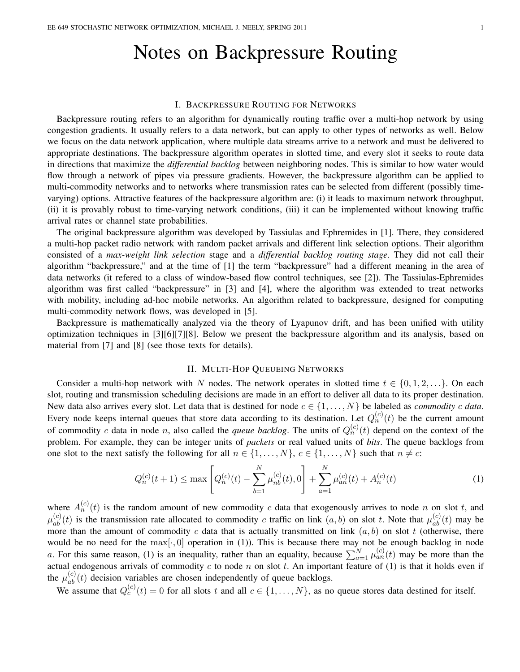# Notes on Backpressure Routing

## I. BACKPRESSURE ROUTING FOR NETWORKS

Backpressure routing refers to an algorithm for dynamically routing traffic over a multi-hop network by using congestion gradients. It usually refers to a data network, but can apply to other types of networks as well. Below we focus on the data network application, where multiple data streams arrive to a network and must be delivered to appropriate destinations. The backpressure algorithm operates in slotted time, and every slot it seeks to route data in directions that maximize the *differential backlog* between neighboring nodes. This is similar to how water would flow through a network of pipes via pressure gradients. However, the backpressure algorithm can be applied to multi-commodity networks and to networks where transmission rates can be selected from different (possibly timevarying) options. Attractive features of the backpressure algorithm are: (i) it leads to maximum network throughput, (ii) it is provably robust to time-varying network conditions, (iii) it can be implemented without knowing traffic arrival rates or channel state probabilities.

The original backpressure algorithm was developed by Tassiulas and Ephremides in [1]. There, they considered a multi-hop packet radio network with random packet arrivals and different link selection options. Their algorithm consisted of a *max-weight link selection* stage and a *differential backlog routing stage*. They did not call their algorithm "backpressure," and at the time of [1] the term "backpressure" had a different meaning in the area of data networks (it refered to a class of window-based flow control techniques, see [2]). The Tassiulas-Ephremides algorithm was first called "backpressure" in [3] and [4], where the algorithm was extended to treat networks with mobility, including ad-hoc mobile networks. An algorithm related to backpressure, designed for computing multi-commodity network flows, was developed in [5].

Backpressure is mathematically analyzed via the theory of Lyapunov drift, and has been unified with utility optimization techniques in [3][6][7][8]. Below we present the backpressure algorithm and its analysis, based on material from [7] and [8] (see those texts for details).

# II. MULTI-HOP QUEUEING NETWORKS

Consider a multi-hop network with N nodes. The network operates in slotted time  $t \in \{0, 1, 2, \ldots\}$ . On each slot, routing and transmission scheduling decisions are made in an effort to deliver all data to its proper destination. New data also arrives every slot. Let data that is destined for node  $c \in \{1, \ldots, N\}$  be labeled as *commodity* c data. Every node keeps internal queues that store data according to its destination. Let  $Q_n^{(c)}(t)$  be the current amount of commodity c data in node n, also called the *queue backlog*. The units of  $Q_n^{(c)}(t)$  depend on the context of the problem. For example, they can be integer units of *packets* or real valued units of *bits*. The queue backlogs from one slot to the next satisfy the following for all  $n \in \{1, \ldots, N\}$ ,  $c \in \{1, \ldots, N\}$  such that  $n \neq c$ :

$$
Q_n^{(c)}(t+1) \le \max\left[Q_n^{(c)}(t) - \sum_{b=1}^N \mu_{nb}^{(c)}(t), 0\right] + \sum_{a=1}^N \mu_{an}^{(c)}(t) + A_n^{(c)}(t)
$$
\n(1)

where  $A_n^{(c)}(t)$  is the random amount of new commodity c data that exogenously arrives to node n on slot t, and  $\mu_{ab}^{(c)}(t)$  is the transmission rate allocated to commodity c traffic on link  $(a, b)$  on slot t. Note that  $\mu_{ab}^{(c)}(t)$  may be more than the amount of commodity c data that is actually transmitted on link  $(a, b)$  on slot t (otherwise, there would be no need for the max[ $\cdot$ , 0] operation in (1)). This is because there may not be enough backlog in node a. For this same reason, (1) is an inequality, rather than an equality, because  $\sum_{a=1}^{N} \mu_{an}^{(c)}(t)$  may be more than the actual endogenous arrivals of commodity  $c$  to node  $n$  on slot  $t$ . An important feature of (1) is that it holds even if the  $\mu_{ab}^{(c)}(t)$  decision variables are chosen independently of queue backlogs.

We assume that  $Q_c^{(c)}(t) = 0$  for all slots t and all  $c \in \{1, \ldots, N\}$ , as no queue stores data destined for itself.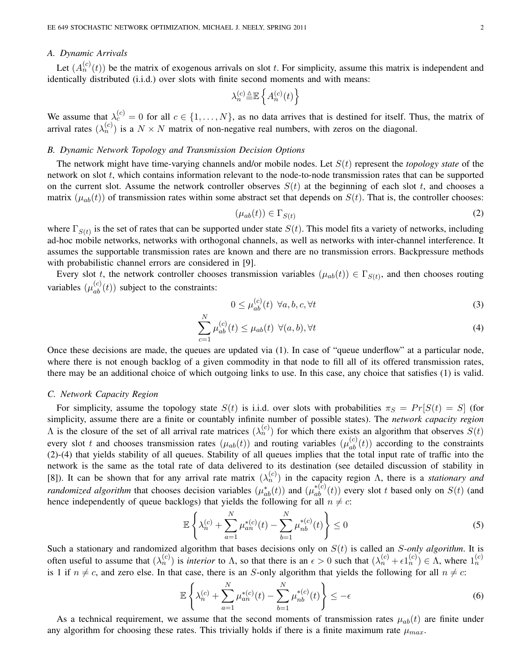# *A. Dynamic Arrivals*

Let  $(A_n^{(c)}(t))$  be the matrix of exogenous arrivals on slot t. For simplicity, assume this matrix is independent and identically distributed (i.i.d.) over slots with finite second moments and with means:

$$
\lambda_n^{(c)} \underline{\stackrel{\scriptscriptstyle\Delta}{=}} \mathbb{E} \left\{ A_n^{(c)}(t) \right\}
$$

We assume that  $\lambda_c^{(c)} = 0$  for all  $c \in \{1, ..., N\}$ , as no data arrives that is destined for itself. Thus, the matrix of arrival rates  $(\lambda_n^{(c)})$  is a  $N \times N$  matrix of non-negative real numbers, with zeros on the diagonal.

## *B. Dynamic Network Topology and Transmission Decision Options*

 $\mathbf{v}$ 

The network might have time-varying channels and/or mobile nodes. Let S(t) represent the *topology state* of the network on slot t, which contains information relevant to the node-to-node transmission rates that can be supported on the current slot. Assume the network controller observes  $S(t)$  at the beginning of each slot t, and chooses a matrix  $(\mu_{ab}(t))$  of transmission rates within some abstract set that depends on  $S(t)$ . That is, the controller chooses:

$$
(\mu_{ab}(t)) \in \Gamma_{S(t)} \tag{2}
$$

where  $\Gamma_{S(t)}$  is the set of rates that can be supported under state  $S(t)$ . This model fits a variety of networks, including ad-hoc mobile networks, networks with orthogonal channels, as well as networks with inter-channel interference. It assumes the supportable transmission rates are known and there are no transmission errors. Backpressure methods with probabilistic channel errors are considered in [9].

Every slot t, the network controller chooses transmission variables  $(\mu_{ab}(t)) \in \Gamma_{S(t)}$ , and then chooses routing variables  $(\mu_{ab}^{(c)}(t))$  subject to the constraints:

$$
0 \le \mu_{ab}^{(c)}(t) \ \forall a, b, c, \forall t \tag{3}
$$

$$
\sum_{c=1}^{N} \mu_{ab}^{(c)}(t) \le \mu_{ab}(t) \ \forall (a, b), \forall t \tag{4}
$$

Once these decisions are made, the queues are updated via (1). In case of "queue underflow" at a particular node, where there is not enough backlog of a given commodity in that node to fill all of its offered transmission rates, there may be an additional choice of which outgoing links to use. In this case, any choice that satisfies (1) is valid.

## *C. Network Capacity Region*

For simplicity, assume the topology state  $S(t)$  is i.i.d. over slots with probabilities  $\pi_S = Pr[S(t) = S]$  (for simplicity, assume there are a finite or countably infinite number of possible states). The *network capacity region* A is the closure of the set of all arrival rate matrices  $(\lambda_n^{(c)})$  for which there exists an algorithm that observes  $S(t)$ every slot t and chooses transmission rates  $(\mu_{ab}(t))$  and routing variables  $(\mu_{ab}^{(c)}(t))$  according to the constraints (2)-(4) that yields stability of all queues. Stability of all queues implies that the total input rate of traffic into the network is the same as the total rate of data delivered to its destination (see detailed discussion of stability in [8]). It can be shown that for any arrival rate matrix  $(\lambda_n^{(c)})$  in the capacity region  $\Lambda$ , there is a *stationary and randomized algorithm* that chooses decision variables  $(\mu_{ab}^*(t))$  and  $(\mu_{ab}^{*(c)}(t))$  every slot t based only on  $S(t)$  (and hence independently of queue backlogs) that yields the following for all  $n \neq c$ :

$$
\mathbb{E}\left\{\lambda_n^{(c)} + \sum_{a=1}^N \mu_{an}^{*(c)}(t) - \sum_{b=1}^N \mu_{nb}^{*(c)}(t)\right\} \le 0
$$
\n(5)

Such a stationary and randomized algorithm that bases decisions only on  $S(t)$  is called an S-only algorithm. It is often useful to assume that  $(\lambda_n^{(c)})$  is *interior* to  $\Lambda$ , so that there is an  $\epsilon > 0$  such that  $(\lambda_n^{(c)} + \epsilon 1_n^{(c)}) \in \Lambda$ , where  $1_n^{(c)}$ is 1 if  $n \neq c$ , and zero else. In that case, there is an S-only algorithm that yields the following for all  $n \neq c$ :

$$
\mathbb{E}\left\{\lambda_n^{(c)} + \sum_{a=1}^N \mu_{an}^{*(c)}(t) - \sum_{b=1}^N \mu_{nb}^{*(c)}(t)\right\} \le -\epsilon
$$
 (6)

As a technical requirement, we assume that the second moments of transmission rates  $\mu_{ab}(t)$  are finite under any algorithm for choosing these rates. This trivially holds if there is a finite maximum rate  $\mu_{max}$ .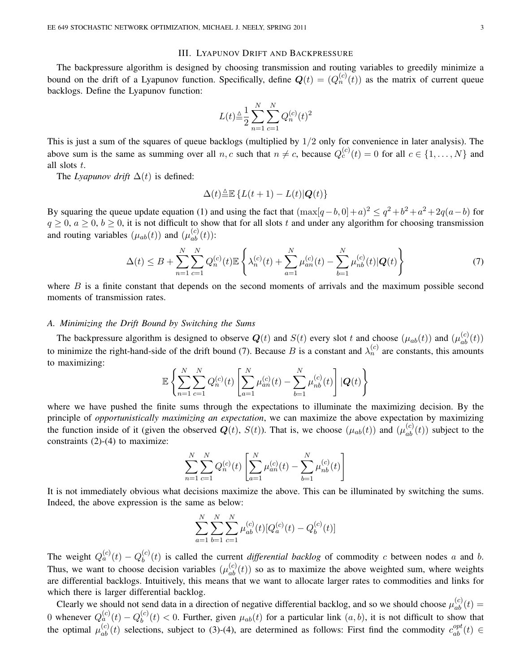## III. LYAPUNOV DRIFT AND BACKPRESSURE

The backpressure algorithm is designed by choosing transmission and routing variables to greedily minimize a bound on the drift of a Lyapunov function. Specifically, define  $Q(t) = (Q_n^{(c)}(t))$  as the matrix of current queue backlogs. Define the Lyapunov function:

$$
L(t) \triangleq \frac{1}{2} \sum_{n=1}^{N} \sum_{c=1}^{N} Q_n^{(c)}(t)^2
$$

This is just a sum of the squares of queue backlogs (multiplied by 1/2 only for convenience in later analysis). The above sum is the same as summing over all n, c such that  $n \neq c$ , because  $Q_c^{(c)}(t) = 0$  for all  $c \in \{1, ..., N\}$  and all slots t.

The *Lyapunov drift*  $\Delta(t)$  is defined:

$$
\Delta(t) \triangleq \mathbb{E} \left\{ L(t+1) - L(t) | \mathbf{Q}(t) \right\}
$$

By squaring the queue update equation (1) and using the fact that  $(\max[q-b, 0]+a)^2 \le q^2+b^2+a^2+2q(a-b)$  for  $q \ge 0$ ,  $a \ge 0$ ,  $b \ge 0$ , it is not difficult to show that for all slots t and under any algorithm for choosing transmission and routing variables  $(\mu_{ab}(t))$  and  $(\mu_{ab}^{(c)}(t))$ :

$$
\Delta(t) \leq B + \sum_{n=1}^{N} \sum_{c=1}^{N} Q_n^{(c)}(t) \mathbb{E} \left\{ \lambda_n^{(c)}(t) + \sum_{a=1}^{N} \mu_{an}^{(c)}(t) - \sum_{b=1}^{N} \mu_{nb}^{(c)}(t) |Q(t) \right\} \tag{7}
$$

where  $B$  is a finite constant that depends on the second moments of arrivals and the maximum possible second moments of transmission rates.

# *A. Minimizing the Drift Bound by Switching the Sums*

The backpressure algorithm is designed to observe  $Q(t)$  and  $S(t)$  every slot t and choose  $(\mu_{ab}(t))$  and  $(\mu_{ab}^{(c)}(t))$ to minimize the right-hand-side of the drift bound (7). Because B is a constant and  $\lambda_n^{(c)}$  are constants, this amounts to maximizing:

$$
\mathbb{E}\left\{\sum_{n=1}^{N}\sum_{c=1}^{N}Q_{n}^{(c)}(t)\left[\sum_{a=1}^{N}\mu_{an}^{(c)}(t)-\sum_{b=1}^{N}\mu_{nb}^{(c)}(t)\right]|Q(t)\right\}
$$

where we have pushed the finite sums through the expectations to illuminate the maximizing decision. By the principle of *opportunistically maximizing an expectation*, we can maximize the above expectation by maximizing the function inside of it (given the observed  $Q(t)$ ,  $S(t)$ ). That is, we choose  $(\mu_{ab}(t))$  and  $(\mu_{ab}^{(c)}(t))$  subject to the constraints (2)-(4) to maximize:

$$
\sum_{n=1}^{N} \sum_{c=1}^{N} Q_n^{(c)}(t) \left[ \sum_{a=1}^{N} \mu_{an}^{(c)}(t) - \sum_{b=1}^{N} \mu_{nb}^{(c)}(t) \right]
$$

It is not immediately obvious what decisions maximize the above. This can be illuminated by switching the sums. Indeed, the above expression is the same as below:

$$
\sum_{a=1}^{N} \sum_{b=1}^{N} \sum_{c=1}^{N} \mu_{ab}^{(c)}(t) [Q_a^{(c)}(t) - Q_b^{(c)}(t)]
$$

The weight  $Q_a^{(c)}(t) - Q_b^{(c)}$  $b<sub>b</sub><sup>(c)</sup>(t)$  is called the current *differential backlog* of commodity c between nodes a and b. Thus, we want to choose decision variables  $(\mu_{ab}^{(c)}(t))$  so as to maximize the above weighted sum, where weights are differential backlogs. Intuitively, this means that we want to allocate larger rates to commodities and links for which there is larger differential backlog.

Clearly we should not send data in a direction of negative differential backlog, and so we should choose  $\mu_{ab}^{(c)}(t)$  = 0 whenever  $Q_a^{(c)}(t) - Q_b^{(c)}$  $b<sub>b</sub><sup>(c)</sup>(t) < 0$ . Further, given  $\mu_{ab}(t)$  for a particular link  $(a, b)$ , it is not difficult to show that the optimal  $\mu_{ab}^{(c)}(t)$  selections, subject to (3)-(4), are determined as follows: First find the commodity  $c_{ab}^{opt}(t) \in$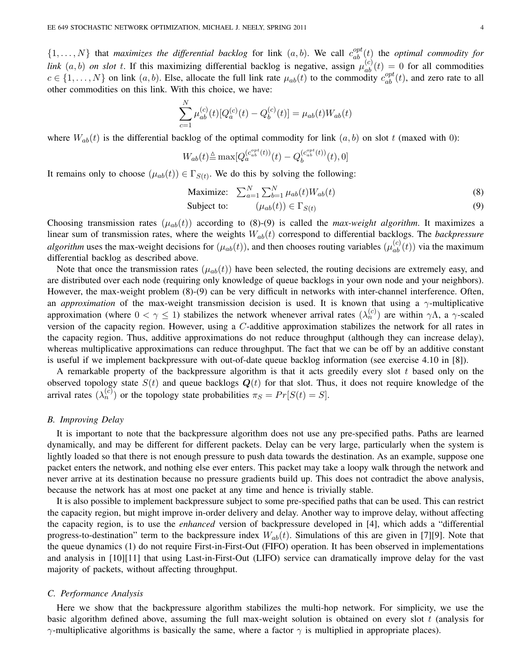$\{1,\ldots,N\}$  that *maximizes the differential backlog* for link  $(a,b)$ . We call  $c_{ab}^{opt}(t)$  the *optimal commodity for link*  $(a, b)$  *on slot* t. If this maximizing differential backlog is negative, assign  $\mu_{ab}^{(c)}(t) = 0$  for all commodities  $c \in \{1, \ldots, N\}$  on link  $(a, b)$ . Else, allocate the full link rate  $\mu_{ab}(t)$  to the commodity  $c_{ab}^{opt}(t)$ , and zero rate to all other commodities on this link. With this choice, we have:

$$
\sum_{c=1}^{N} \mu_{ab}^{(c)}(t) [Q_a^{(c)}(t) - Q_b^{(c)}(t)] = \mu_{ab}(t) W_{ab}(t)
$$

where  $W_{ab}(t)$  is the differential backlog of the optimal commodity for link  $(a, b)$  on slot t (maxed with 0):

$$
W_{ab}(t) \triangleq \max[Q_a^{(c_{ab}^{opt}(t))}(t) - Q_b^{(c_{ab}^{opt}(t))}(t), 0]
$$

It remains only to choose  $(\mu_{ab}(t)) \in \Gamma_{S(t)}$ . We do this by solving the following:

$$
\text{Maximize:} \quad \sum_{a=1}^{N} \sum_{b=1}^{N} \mu_{ab}(t) W_{ab}(t) \tag{8}
$$

$$
\text{Subject to:} \qquad (\mu_{ab}(t)) \in \Gamma_{S(t)} \tag{9}
$$

Choosing transmission rates  $(\mu_{ab}(t))$  according to (8)-(9) is called the *max-weight algorithm*. It maximizes a linear sum of transmission rates, where the weights  $W_{ab}(t)$  correspond to differential backlogs. The *backpressure algorithm* uses the max-weight decisions for  $(\mu_{ab}(t))$ , and then chooses routing variables  $(\mu_{ab}^{(c)}(t))$  via the maximum differential backlog as described above.

Note that once the transmission rates  $(\mu_{ab}(t))$  have been selected, the routing decisions are extremely easy, and are distributed over each node (requiring only knowledge of queue backlogs in your own node and your neighbors). However, the max-weight problem (8)-(9) can be very difficult in networks with inter-channel interference. Often, an *approximation* of the max-weight transmission decision is used. It is known that using a γ-multiplicative approximation (where  $0 < \gamma \le 1$ ) stabilizes the network whenever arrival rates  $(\lambda_n^{(c)})$  are within  $\gamma \Lambda$ , a  $\gamma$ -scaled version of the capacity region. However, using a C-additive approximation stabilizes the network for all rates in the capacity region. Thus, additive approximations do not reduce throughput (although they can increase delay), whereas multiplicative approximations can reduce throughput. The fact that we can be off by an additive constant is useful if we implement backpressure with out-of-date queue backlog information (see exercise 4.10 in [8]).

A remarkable property of the backpressure algorithm is that it acts greedily every slot  $t$  based only on the observed topology state  $S(t)$  and queue backlogs  $Q(t)$  for that slot. Thus, it does not require knowledge of the arrival rates  $(\lambda_n^{(c)})$  or the topology state probabilities  $\pi_S = Pr[S(t) = S].$ 

# *B. Improving Delay*

It is important to note that the backpressure algorithm does not use any pre-specified paths. Paths are learned dynamically, and may be different for different packets. Delay can be very large, particularly when the system is lightly loaded so that there is not enough pressure to push data towards the destination. As an example, suppose one packet enters the network, and nothing else ever enters. This packet may take a loopy walk through the network and never arrive at its destination because no pressure gradients build up. This does not contradict the above analysis, because the network has at most one packet at any time and hence is trivially stable.

It is also possible to implement backpressure subject to some pre-specified paths that can be used. This can restrict the capacity region, but might improve in-order delivery and delay. Another way to improve delay, without affecting the capacity region, is to use the *enhanced* version of backpressure developed in [4], which adds a "differential progress-to-destination" term to the backpressure index  $W_{ab}(t)$ . Simulations of this are given in [7][9]. Note that the queue dynamics (1) do not require First-in-First-Out (FIFO) operation. It has been observed in implementations and analysis in [10][11] that using Last-in-First-Out (LIFO) service can dramatically improve delay for the vast majority of packets, without affecting throughput.

### *C. Performance Analysis*

Here we show that the backpressure algorithm stabilizes the multi-hop network. For simplicity, we use the basic algorithm defined above, assuming the full max-weight solution is obtained on every slot t (analysis for  $γ$ -multiplicative algorithms is basically the same, where a factor  $γ$  is multiplied in appropriate places).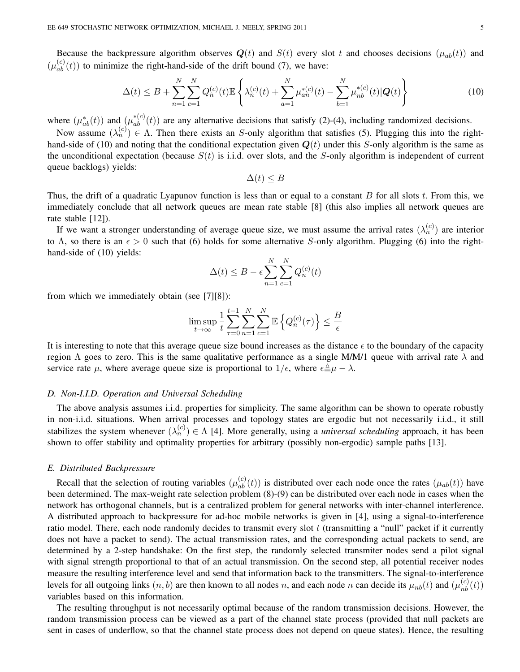Because the backpressure algorithm observes  $Q(t)$  and  $S(t)$  every slot t and chooses decisions  $(\mu_{ab}(t))$  and  $(\mu_{ab}^{(c)}(t))$  to minimize the right-hand-side of the drift bound (7), we have:

$$
\Delta(t) \le B + \sum_{n=1}^{N} \sum_{c=1}^{N} Q_n^{(c)}(t) \mathbb{E} \left\{ \lambda_n^{(c)}(t) + \sum_{a=1}^{N} \mu_{an}^{*(c)}(t) - \sum_{b=1}^{N} \mu_{nb}^{*(c)}(t) |Q(t) \right\}
$$
(10)

where  $(\mu_{ab}^*(t))$  and  $(\mu_{ab}^{*(c)}(t))$  are any alternative decisions that satisfy (2)-(4), including randomized decisions.

Now assume  $(\lambda_n^{(c)}) \in \Lambda$ . Then there exists an S-only algorithm that satisfies (5). Plugging this into the righthand-side of (10) and noting that the conditional expectation given  $Q(t)$  under this S-only algorithm is the same as the unconditional expectation (because  $S(t)$  is i.i.d. over slots, and the S-only algorithm is independent of current queue backlogs) yields:

 $\Delta(t) \leq B$ 

Thus, the drift of a quadratic Lyapunov function is less than or equal to a constant  $B$  for all slots  $t$ . From this, we immediately conclude that all network queues are mean rate stable [8] (this also implies all network queues are rate stable [12]).

If we want a stronger understanding of average queue size, we must assume the arrival rates  $(\lambda_n^{(c)})$  are interior to Λ, so there is an  $\epsilon > 0$  such that (6) holds for some alternative S-only algorithm. Plugging (6) into the righthand-side of  $(10)$  yields:

$$
\Delta(t) \le B - \epsilon \sum_{n=1}^{N} \sum_{c=1}^{N} Q_n^{(c)}(t)
$$

from which we immediately obtain (see [7][8]):

$$
\limsup_{t \to \infty} \frac{1}{t} \sum_{\tau=0}^{t-1} \sum_{n=1}^{N} \sum_{c=1}^{N} \mathbb{E} \left\{ Q_n^{(c)}(\tau) \right\} \le \frac{B}{\epsilon}
$$

It is interesting to note that this average queue size bound increases as the distance  $\epsilon$  to the boundary of the capacity region Λ goes to zero. This is the same qualitative performance as a single M/M/1 queue with arrival rate  $\lambda$  and service rate  $\mu$ , where average queue size is proportional to  $1/\epsilon$ , where  $\epsilon \stackrel{\triangle}{=} \mu - \lambda$ .

## *D. Non-I.I.D. Operation and Universal Scheduling*

The above analysis assumes i.i.d. properties for simplicity. The same algorithm can be shown to operate robustly in non-i.i.d. situations. When arrival processes and topology states are ergodic but not necessarily i.i.d., it still stabilizes the system whenever  $(\lambda_n^{(c)}) \in \Lambda$  [4]. More generally, using a *universal scheduling* approach, it has been shown to offer stability and optimality properties for arbitrary (possibly non-ergodic) sample paths [13].

#### *E. Distributed Backpressure*

Recall that the selection of routing variables  $(\mu_{ab}^{(c)}(t))$  is distributed over each node once the rates  $(\mu_{ab}(t))$  have been determined. The max-weight rate selection problem (8)-(9) can be distributed over each node in cases when the network has orthogonal channels, but is a centralized problem for general networks with inter-channel interference. A distributed approach to backpressure for ad-hoc mobile networks is given in [4], using a signal-to-interference ratio model. There, each node randomly decides to transmit every slot  $t$  (transmitting a "null" packet if it currently does not have a packet to send). The actual transmission rates, and the corresponding actual packets to send, are determined by a 2-step handshake: On the first step, the randomly selected transmiter nodes send a pilot signal with signal strength proportional to that of an actual transmission. On the second step, all potential receiver nodes measure the resulting interference level and send that information back to the transmitters. The signal-to-interference levels for all outgoing links  $(n, b)$  are then known to all nodes n, and each node n can decide its  $\mu_{nb}(t)$  and  $(\mu_{nb}^{(c)}(t))$ variables based on this information.

The resulting throughput is not necessarily optimal because of the random transmission decisions. However, the random transmission process can be viewed as a part of the channel state process (provided that null packets are sent in cases of underflow, so that the channel state process does not depend on queue states). Hence, the resulting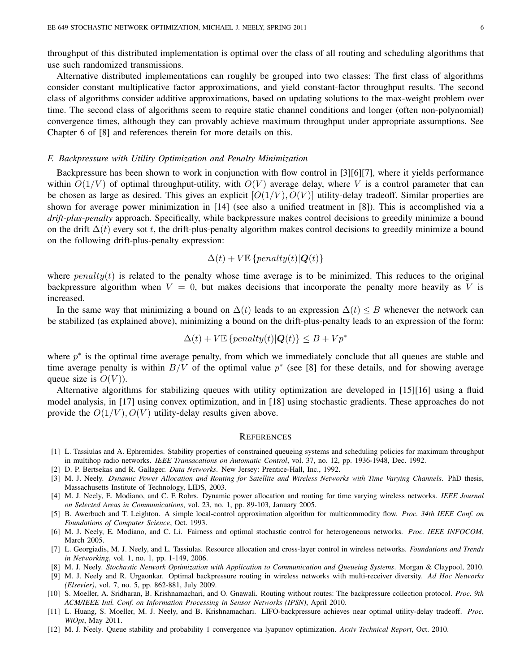throughput of this distributed implementation is optimal over the class of all routing and scheduling algorithms that use such randomized transmissions.

Alternative distributed implementations can roughly be grouped into two classes: The first class of algorithms consider constant multiplicative factor approximations, and yield constant-factor throughput results. The second class of algorithms consider additive approximations, based on updating solutions to the max-weight problem over time. The second class of algorithms seem to require static channel conditions and longer (often non-polynomial) convergence times, although they can provably achieve maximum throughput under appropriate assumptions. See Chapter 6 of [8] and references therein for more details on this.

## *F. Backpressure with Utility Optimization and Penalty Minimization*

Backpressure has been shown to work in conjunction with flow control in [3][6][7], where it yields performance within  $O(1/V)$  of optimal throughput-utility, with  $O(V)$  average delay, where V is a control parameter that can be chosen as large as desired. This gives an explicit  $[O(1/V), O(V)]$  utility-delay tradeoff. Similar properties are shown for average power minimization in [14] (see also a unified treatment in [8]). This is accomplished via a *drift-plus-penalty* approach. Specifically, while backpressure makes control decisions to greedily minimize a bound on the drift  $\Delta(t)$  every sot t, the drift-plus-penalty algorithm makes control decisions to greedily minimize a bound on the following drift-plus-penalty expression:

$$
\Delta(t) + V \mathbb{E} \left\{penalty(t) | \mathbf{Q}(t) \right\}
$$

where  $penalty(t)$  is related to the penalty whose time average is to be minimized. This reduces to the original backpressure algorithm when  $V = 0$ , but makes decisions that incorporate the penalty more heavily as V is increased.

In the same way that minimizing a bound on  $\Delta(t)$  leads to an expression  $\Delta(t) \leq B$  whenever the network can be stabilized (as explained above), minimizing a bound on the drift-plus-penalty leads to an expression of the form:

$$
\Delta(t) + V \mathbb{E} \left\{penalty(t) | \mathbf{Q}(t) \right\} \le B + Vp^*
$$

where  $p^*$  is the optimal time average penalty, from which we immediately conclude that all queues are stable and time average penalty is within  $B/V$  of the optimal value  $p^*$  (see [8] for these details, and for showing average queue size is  $O(V)$ ).

Alternative algorithms for stabilizing queues with utility optimization are developed in [15][16] using a fluid model analysis, in [17] using convex optimization, and in [18] using stochastic gradients. These approaches do not provide the  $O(1/V)$ ,  $O(V)$  utility-delay results given above.

### **REFERENCES**

- [1] L. Tassiulas and A. Ephremides. Stability properties of constrained queueing systems and scheduling policies for maximum throughput in multihop radio networks. *IEEE Transacations on Automatic Control*, vol. 37, no. 12, pp. 1936-1948, Dec. 1992.
- [2] D. P. Bertsekas and R. Gallager. *Data Networks*. New Jersey: Prentice-Hall, Inc., 1992.
- [3] M. J. Neely. *Dynamic Power Allocation and Routing for Satellite and Wireless Networks with Time Varying Channels*. PhD thesis, Massachusetts Institute of Technology, LIDS, 2003.
- [4] M. J. Neely, E. Modiano, and C. E Rohrs. Dynamic power allocation and routing for time varying wireless networks. *IEEE Journal on Selected Areas in Communications*, vol. 23, no. 1, pp. 89-103, January 2005.
- [5] B. Awerbuch and T. Leighton. A simple local-control approximation algorithm for multicommodity flow. *Proc. 34th IEEE Conf. on Foundations of Computer Science*, Oct. 1993.
- [6] M. J. Neely, E. Modiano, and C. Li. Fairness and optimal stochastic control for heterogeneous networks. *Proc. IEEE INFOCOM*, March 2005.
- [7] L. Georgiadis, M. J. Neely, and L. Tassiulas. Resource allocation and cross-layer control in wireless networks. *Foundations and Trends in Networking*, vol. 1, no. 1, pp. 1-149, 2006.
- [8] M. J. Neely. *Stochastic Network Optimization with Application to Communication and Queueing Systems*. Morgan & Claypool, 2010.
- [9] M. J. Neely and R. Urgaonkar. Optimal backpressure routing in wireless networks with multi-receiver diversity. *Ad Hoc Networks (Elsevier)*, vol. 7, no. 5, pp. 862-881, July 2009.
- [10] S. Moeller, A. Sridharan, B. Krishnamachari, and O. Gnawali. Routing without routes: The backpressure collection protocol. *Proc. 9th ACM/IEEE Intl. Conf. on Information Processing in Sensor Networks (IPSN)*, April 2010.
- [11] L. Huang, S. Moeller, M. J. Neely, and B. Krishnamachari. LIFO-backpressure achieves near optimal utility-delay tradeoff. *Proc. WiOpt*, May 2011.
- [12] M. J. Neely. Queue stability and probability 1 convergence via lyapunov optimization. *Arxiv Technical Report*, Oct. 2010.